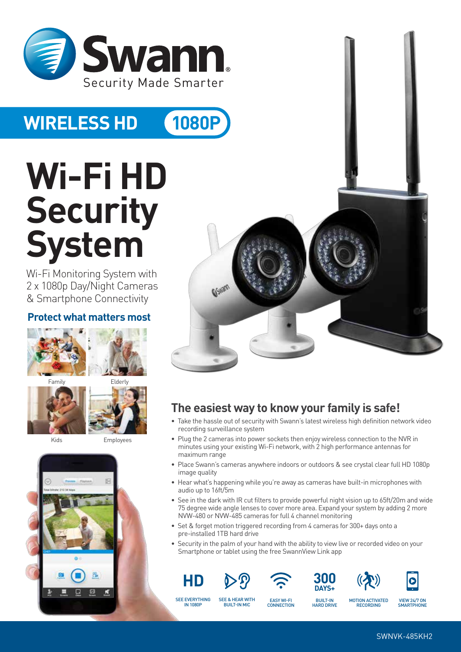

## **WIRELESS HD 1080P**

# **Wi-Fi HD Security System**

Wi-Fi Monitoring System with 2 x 1080p Day/Night Cameras & Smartphone Connectivity

### **Protect what matters most**





Kids Employees





## **The easiest way to know your family is safe!**

- Take the hassle out of security with Swann's latest wireless high definition network video recording surveillance system
- Plug the 2 cameras into power sockets then enjoy wireless connection to the NVR in minutes using your existing Wi-Fi network, with 2 high performance antennas for maximum range
- Place Swann's cameras anywhere indoors or outdoors & see crystal clear full HD 1080p image quality
- Hear what's happening while you're away as cameras have built-in microphones with audio up to 16ft/5m
- See in the dark with IR cut filters to provide powerful night vision up to 65ft/20m and wide 75 degree wide angle lenses to cover more area. Expand your system by adding 2 more NVW-480 or NVW-485 cameras for full 4 channel monitoring
- Set & forget motion triggered recording from 4 cameras for 300+ days onto a pre-installed 1TB hard drive
- Security in the palm of your hand with the ability to view live or recorded video on your Smartphone or tablet using the free SwannView Link app











SEE EVERYTHING IN 1080P

EASY WI-FI **CONNECTION** 

SEE & HEAR WITH

BUILT-IN HARD DRIVE

MOTION ACTIVATED **RECORDING** BUILT-IN MIC VIEW 24/7 ON

SMARTPHONE